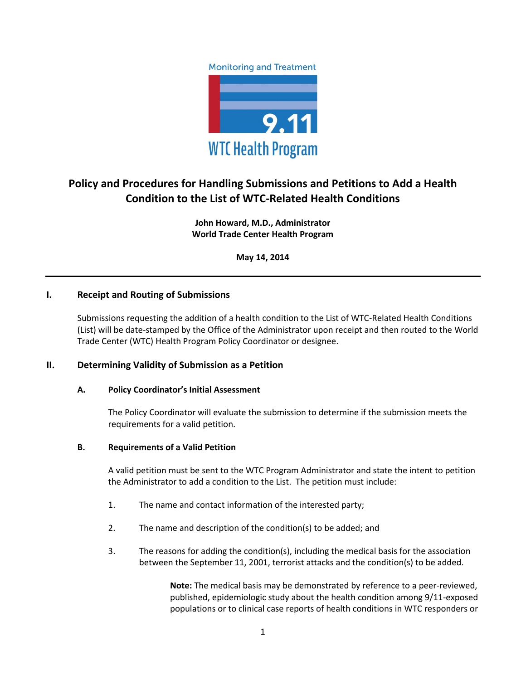



# **Policy and Procedures for Handling Submissions and Petitions to Add a Health Condition to the List of WTC-Related Health Conditions**

**John Howard, M.D., Administrator World Trade Center Health Program**

**May 14, 2014**

# **I. Receipt and Routing of Submissions**

Submissions requesting the addition of a health condition to the List of WTC-Related Health Conditions (List) will be date-stamped by the Office of the Administrator upon receipt and then routed to the World Trade Center (WTC) Health Program Policy Coordinator or designee.

#### **II. Determining Validity of Submission as a Petition**

#### **A. Policy Coordinator's Initial Assessment**

The Policy Coordinator will evaluate the submission to determine if the submission meets the requirements for a valid petition.

#### **B. Requirements of a Valid Petition**

A valid petition must be sent to the WTC Program Administrator and state the intent to petition the Administrator to add a condition to the List. The petition must include:

- 1. The name and contact information of the interested party;
- 2. The name and description of the condition(s) to be added; and
- 3. The reasons for adding the condition(s), including the medical basis for the association between the September 11, 2001, terrorist attacks and the condition(s) to be added.

**Note:** The medical basis may be demonstrated by reference to a peer-reviewed, published, epidemiologic study about the health condition among 9/11-exposed populations or to clinical case reports of health conditions in WTC responders or